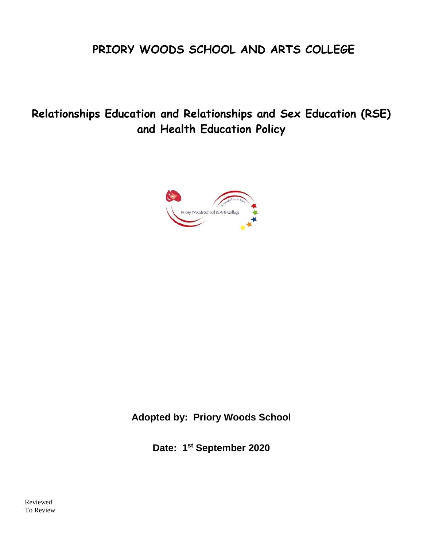# **PRIORY WOODS SCHOOL AND ARTS COLLEGE**

**Relationships Education and Relationships and Sex Education (RSE) and Health Education Policy**



**Adopted by: Priory Woods School**

**Date: 1st September 2020**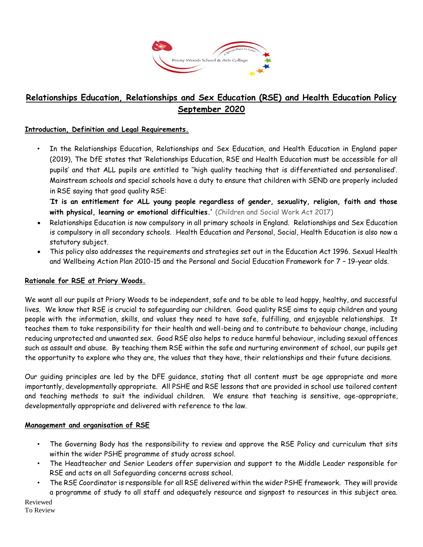

# **Relationships Education, Relationships and Sex Education (RSE) and Health Education Policy September 2020**

#### **Introduction, Definition and Legal Requirements.**

• In the Relationships Education, Relationships and Sex Education, and Health Education in England paper (2019), The DfE states that 'Relationships Education, RSE and Health Education must be accessible for all pupils' and that ALL pupils are entitled to ''high quality teaching that is differentiated and personalised'. Mainstream schools and special schools have a duty to ensure that children with SEND are properly included in RSE saying that good quality RSE:

'**It is an entitlement for ALL young people regardless of gender, sexuality, religion, faith and those with physical, learning or emotional difficulties.'** (Children and Social Work Act 2017)

- Relationships Education is now compulsory in all primary schools in England. Relationships and Sex Education is compulsory in all secondary schools. Health Education and Personal, Social, Health Education is also now a statutory subject.
- This policy also addresses the requirements and strategies set out in the Education Act 1996. Sexual Health and Wellbeing Action Plan 2010-15 and the Personal and Social Education Framework for 7 – 19-year olds.

#### **Rationale for RSE at Priory Woods.**

We want all our pupils at Priory Woods to be independent, safe and to be able to lead happy, healthy, and successful lives. We know that RSE is crucial to safeguarding our children. Good quality RSE aims to equip children and young people with the information, skills, and values they need to have safe, fulfilling, and enjoyable relationships. It teaches them to take responsibility for their health and well-being and to contribute to behaviour change, including reducing unprotected and unwanted sex. Good RSE also helps to reduce harmful behaviour, including sexual offences such as assault and abuse. By teaching them RSE within the safe and nurturing environment of school, our pupils get the opportunity to explore who they are, the values that they have, their relationships and their future decisions.

Our guiding principles are led by the DFE guidance, stating that all content must be age appropriate and more importantly, developmentally appropriate. All PSHE and RSE lessons that are provided in school use tailored content and teaching methods to suit the individual children. We ensure that teaching is sensitive, age-appropriate, developmentally appropriate and delivered with reference to the law.

#### **Management and organisation of RSE**

- The Governing Body has the responsibility to review and approve the RSE Policy and curriculum that sits within the wider PSHE programme of study across school.
- The Headteacher and Senior Leaders offer supervision and support to the Middle Leader responsible for RSE and acts on all Safeguarding concerns across school.
- The RSE Coordinator is responsible for all RSE delivered within the wider PSHE framework. They will provide a programme of study to all staff and adequately resource and signpost to resources in this subject area.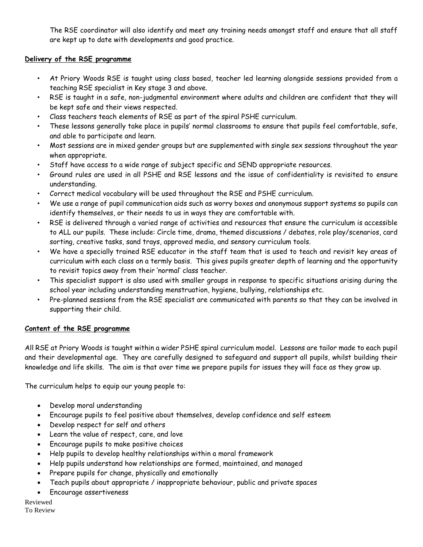The RSE coordinator will also identify and meet any training needs amongst staff and ensure that all staff are kept up to date with developments and good practice.

## **Delivery of the RSE programme**

- At Priory Woods RSE is taught using class based, teacher led learning alongside sessions provided from a teaching RSE specialist in Key stage 3 and above.
- RSE is taught in a safe, non-judgmental environment where adults and children are confident that they will be kept safe and their views respected.
- Class teachers teach elements of RSE as part of the spiral PSHE curriculum.
- These lessons generally take place in pupils' normal classrooms to ensure that pupils feel comfortable, safe, and able to participate and learn.
- Most sessions are in mixed gender groups but are supplemented with single sex sessions throughout the year when appropriate.
- Staff have access to a wide range of subject specific and SEND appropriate resources.
- Ground rules are used in all PSHE and RSE lessons and the issue of confidentiality is revisited to ensure understanding.
- Correct medical vocabulary will be used throughout the RSE and PSHE curriculum.
- We use a range of pupil communication aids such as worry boxes and anonymous support systems so pupils can identify themselves, or their needs to us in ways they are comfortable with.
- RSE is delivered through a varied range of activities and resources that ensure the curriculum is accessible to ALL our pupils. These include: Circle time, drama, themed discussions / debates, role play/scenarios, card sorting, creative tasks, sand trays, approved media, and sensory curriculum tools.
- We have a specially trained RSE educator in the staff team that is used to teach and revisit key areas of curriculum with each class on a termly basis. This gives pupils greater depth of learning and the opportunity to revisit topics away from their 'normal' class teacher.
- This specialist support is also used with smaller groups in response to specific situations arising during the school year including understanding menstruation, hygiene, bullying, relationships etc.
- Pre-planned sessions from the RSE specialist are communicated with parents so that they can be involved in supporting their child.

# **Content of the RSE programme**

All RSE at Priory Woods is taught within a wider PSHE spiral curriculum model. Lessons are tailor made to each pupil and their developmental age. They are carefully designed to safeguard and support all pupils, whilst building their knowledge and life skills. The aim is that over time we prepare pupils for issues they will face as they grow up.

The curriculum helps to equip our young people to:

- Develop moral understanding
- Encourage pupils to feel positive about themselves, develop confidence and self esteem
- Develop respect for self and others
- Learn the value of respect, care, and love
- Encourage pupils to make positive choices
- Help pupils to develop healthy relationships within a moral framework
- Help pupils understand how relationships are formed, maintained, and managed
- Prepare pupils for change, physically and emotionally
- Teach pupils about appropriate / inappropriate behaviour, public and private spaces
- Encourage assertiveness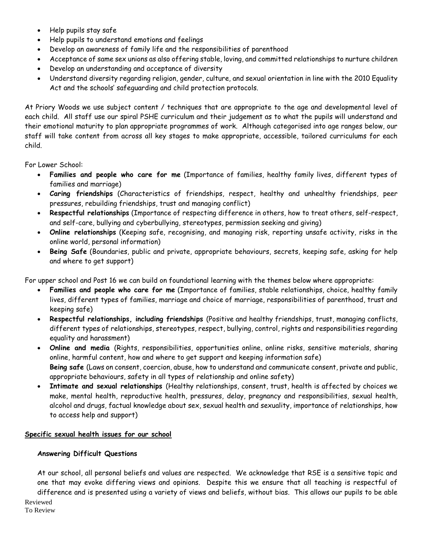- Help pupils stay safe
- Help pupils to understand emotions and feelings
- Develop an awareness of family life and the responsibilities of parenthood
- Acceptance of same sex unions as also offering stable, loving, and committed relationships to nurture children
- Develop an understanding and acceptance of diversity
- Understand diversity regarding religion, gender, culture, and sexual orientation in line with the 2010 Equality Act and the schools' safeguarding and child protection protocols.

At Priory Woods we use subject content / techniques that are appropriate to the age and developmental level of each child. All staff use our spiral PSHE curriculum and their judgement as to what the pupils will understand and their emotional maturity to plan appropriate programmes of work. Although categorised into age ranges below, our staff will take content from across all key stages to make appropriate, accessible, tailored curriculums for each child.

For Lower School:

- **Families and people who care for me** (Importance of families, healthy family lives, different types of families and marriage)
- **Caring friendships** (Characteristics of friendships, respect, healthy and unhealthy friendships, peer pressures, rebuilding friendships, trust and managing conflict)
- **Respectful relationships** (Importance of respecting difference in others, how to treat others, self-respect, and self-care, bullying and cyberbullying, stereotypes, permission seeking and giving)
- **Online relationships** (Keeping safe, recognising, and managing risk, reporting unsafe activity, risks in the online world, personal information)
- **Being Safe** (Boundaries, public and private, appropriate behaviours, secrets, keeping safe, asking for help and where to get support)

For upper school and Post 16 we can build on foundational learning with the themes below where appropriate:

- **Families and people who care for me** (Importance of families, stable relationships, choice, healthy family lives, different types of families, marriage and choice of marriage, responsibilities of parenthood, trust and keeping safe)
- **Respectful relationships, including friendships** (Positive and healthy friendships, trust, managing conflicts, different types of relationships, stereotypes, respect, bullying, control, rights and responsibilities regarding equality and harassment)
- **Online and media** (Rights, responsibilities, opportunities online, online risks, sensitive materials, sharing online, harmful content, how and where to get support and keeping information safe) **Being safe** (Laws on consent, coercion, abuse, how to understand and communicate consent, private and public, appropriate behaviours, safety in all types of relationship and online safety)
- **Intimate and sexual relationships** (Healthy relationships, consent, trust, health is affected by choices we make, mental health, reproductive health, pressures, delay, pregnancy and responsibilities, sexual health, alcohol and drugs, factual knowledge about sex, sexual health and sexuality, importance of relationships, how to access help and support)

### **Specific sexual health issues for our school**

#### **Answering Difficult Questions**

At our school, all personal beliefs and values are respected. We acknowledge that RSE is a sensitive topic and one that may evoke differing views and opinions. Despite this we ensure that all teaching is respectful of difference and is presented using a variety of views and beliefs, without bias. This allows our pupils to be able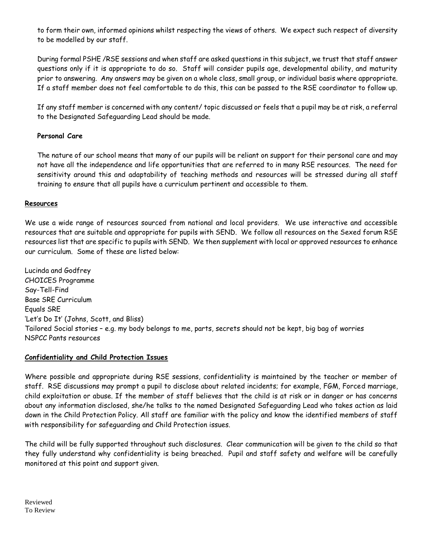to form their own, informed opinions whilst respecting the views of others. We expect such respect of diversity to be modelled by our staff.

During formal PSHE /RSE sessions and when staff are asked questions in this subject, we trust that staff answer questions only if it is appropriate to do so. Staff will consider pupils age, developmental ability, and maturity prior to answering. Any answers may be given on a whole class, small group, or individual basis where appropriate. If a staff member does not feel comfortable to do this, this can be passed to the RSE coordinator to follow up.

If any staff member is concerned with any content/ topic discussed or feels that a pupil may be at risk, a referral to the Designated Safeguarding Lead should be made.

### **Personal Care**

The nature of our school means that many of our pupils will be reliant on support for their personal care and may not have all the independence and life opportunities that are referred to in many RSE resources. The need for sensitivity around this and adaptability of teaching methods and resources will be stressed during all staff training to ensure that all pupils have a curriculum pertinent and accessible to them.

#### **Resources**

We use a wide range of resources sourced from national and local providers. We use interactive and accessible resources that are suitable and appropriate for pupils with SEND. We follow all resources on the Sexed forum RSE resources list that are specific to pupils with SEND. We then supplement with local or approved resources to enhance our curriculum. Some of these are listed below:

Lucinda and Godfrey CHOICES Programme Say-Tell-Find Base SRE Curriculum Equals SRE 'Let's Do It' (Johns, Scott, and Bliss) Tailored Social stories – e.g. my body belongs to me, parts, secrets should not be kept, big bag of worries NSPCC Pants resources

#### **Confidentiality and Child Protection Issues**

Where possible and appropriate during RSE sessions, confidentiality is maintained by the teacher or member of staff. RSE discussions may prompt a pupil to disclose about related incidents; for example, FGM, Forced marriage, child exploitation or abuse. If the member of staff believes that the child is at risk or in danger or has concerns about any information disclosed, she/he talks to the named Designated Safeguarding Lead who takes action as laid down in the Child Protection Policy. All staff are familiar with the policy and know the identified members of staff with responsibility for safeguarding and Child Protection issues.

The child will be fully supported throughout such disclosures. Clear communication will be given to the child so that they fully understand why confidentiality is being breached. Pupil and staff safety and welfare will be carefully monitored at this point and support given.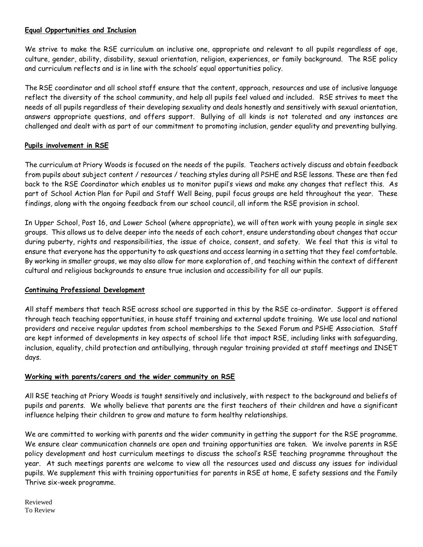## **Equal Opportunities and Inclusion**

We strive to make the RSE curriculum an inclusive one, appropriate and relevant to all pupils regardless of age, culture, gender, ability, disability, sexual orientation, religion, experiences, or family background. The RSE policy and curriculum reflects and is in line with the schools' equal opportunities policy.

The RSE coordinator and all school staff ensure that the content, approach, resources and use of inclusive language reflect the diversity of the school community, and help all pupils feel valued and included. RSE strives to meet the needs of all pupils regardless of their developing sexuality and deals honestly and sensitively with sexual orientation, answers appropriate questions, and offers support. Bullying of all kinds is not tolerated and any instances are challenged and dealt with as part of our commitment to promoting inclusion, gender equality and preventing bullying.

### **Pupils involvement in RSE**

The curriculum at Priory Woods is focused on the needs of the pupils. Teachers actively discuss and obtain feedback from pupils about subject content / resources / teaching styles during all PSHE and RSE lessons. These are then fed back to the RSE Coordinator which enables us to monitor pupil's views and make any changes that reflect this. As part of School Action Plan for Pupil and Staff Well Being, pupil focus groups are held throughout the year. These findings, along with the ongoing feedback from our school council, all inform the RSE provision in school.

In Upper School, Post 16, and Lower School (where appropriate), we will often work with young people in single sex groups. This allows us to delve deeper into the needs of each cohort, ensure understanding about changes that occur during puberty, rights and responsibilities, the issue of choice, consent, and safety. We feel that this is vital to ensure that everyone has the opportunity to ask questions and access learning in a setting that they feel comfortable. By working in smaller groups, we may also allow for more exploration of, and teaching within the context of different cultural and religious backgrounds to ensure true inclusion and accessibility for all our pupils.

### **Continuing Professional Development**

All staff members that teach RSE across school are supported in this by the RSE co-ordinator. Support is offered through teach teaching opportunities, in house staff training and external update training. We use local and national providers and receive regular updates from school memberships to the Sexed Forum and PSHE Association. Staff are kept informed of developments in key aspects of school life that impact RSE, including links with safeguarding, inclusion, equality, child protection and antibullying, through regular training provided at staff meetings and INSET days.

### **Working with parents/carers and the wider community on RSE**

All RSE teaching at Priory Woods is taught sensitively and inclusively, with respect to the background and beliefs of pupils and parents. We wholly believe that parents are the first teachers of their children and have a significant influence helping their children to grow and mature to form healthy relationships.

We are committed to working with parents and the wider community in getting the support for the RSE programme. We ensure clear communication channels are open and training opportunities are taken. We involve parents in RSE policy development and host curriculum meetings to discuss the school's RSE teaching programme throughout the year. At such meetings parents are welcome to view all the resources used and discuss any issues for individual pupils. We supplement this with training opportunities for parents in RSE at home, E safety sessions and the Family Thrive six-week programme.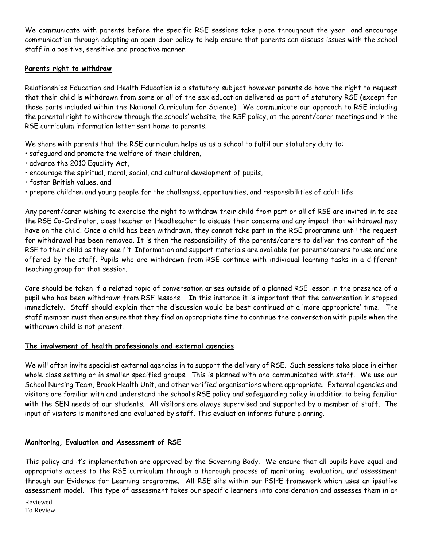We communicate with parents before the specific RSE sessions take place throughout the year and encourage communication through adopting an open-door policy to help ensure that parents can discuss issues with the school staff in a positive, sensitive and proactive manner.

#### **Parents right to withdraw**

Relationships Education and Health Education is a statutory subject however parents do have the right to request that their child is withdrawn from some or all of the sex education delivered as part of statutory RSE (except for those parts included within the National Curriculum for Science). We communicate our approach to RSE including the parental right to withdraw through the schools' website, the RSE policy, at the parent/carer meetings and in the RSE curriculum information letter sent home to parents.

We share with parents that the RSE curriculum helps us as a school to fulfil our statutory duty to:

- safeguard and promote the welfare of their children,
- advance the 2010 Equality Act,
- encourage the spiritual, moral, social, and cultural development of pupils,
- foster British values, and
- prepare children and young people for the challenges, opportunities, and responsibilities of adult life

Any parent/carer wishing to exercise the right to withdraw their child from part or all of RSE are invited in to see the RSE Co-Ordinator, class teacher or Headteacher to discuss their concerns and any impact that withdrawal may have on the child. Once a child has been withdrawn, they cannot take part in the RSE programme until the request for withdrawal has been removed. It is then the responsibility of the parents/carers to deliver the content of the RSE to their child as they see fit. Information and support materials are available for parents/carers to use and are offered by the staff. Pupils who are withdrawn from RSE continue with individual learning tasks in a different teaching group for that session.

Care should be taken if a related topic of conversation arises outside of a planned RSE lesson in the presence of a pupil who has been withdrawn from RSE lessons. In this instance it is important that the conversation in stopped immediately. Staff should explain that the discussion would be best continued at a 'more appropriate' time. The staff member must then ensure that they find an appropriate time to continue the conversation with pupils when the withdrawn child is not present.

#### **The involvement of health professionals and external agencies**

We will often invite specialist external agencies in to support the delivery of RSE. Such sessions take place in either whole class setting or in smaller specified groups. This is planned with and communicated with staff. We use our School Nursing Team, Brook Health Unit, and other verified organisations where appropriate. External agencies and visitors are familiar with and understand the school's RSE policy and safeguarding policy in addition to being familiar with the SEN needs of our students. All visitors are always supervised and supported by a member of staff. The input of visitors is monitored and evaluated by staff. This evaluation informs future planning.

#### **Monitoring, Evaluation and Assessment of RSE**

This policy and it's implementation are approved by the Governing Body. We ensure that all pupils have equal and appropriate access to the RSE curriculum through a thorough process of monitoring, evaluation, and assessment through our Evidence for Learning programme. All RSE sits within our PSHE framework which uses an ipsative assessment model. This type of assessment takes our specific learners into consideration and assesses them in an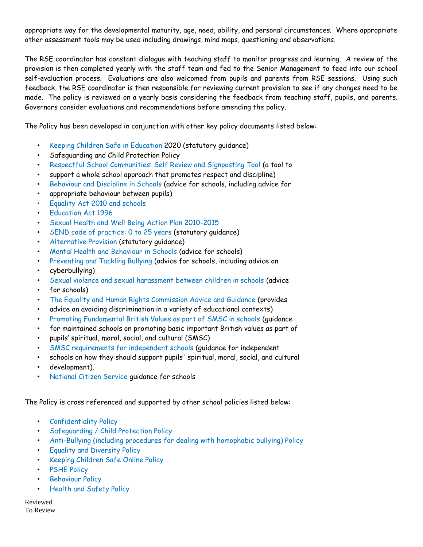appropriate way for the developmental maturity, age, need, ability, and personal circumstances. Where appropriate other assessment tools may be used including drawings, mind maps, questioning and observations.

The RSE coordinator has constant dialogue with teaching staff to monitor progress and learning. A review of the provision is then completed yearly with the staff team and fed to the Senior Management to feed into our school self-evaluation process. Evaluations are also welcomed from pupils and parents from RSE sessions. Using such feedback, the RSE coordinator is then responsible for reviewing current provision to see if any changes need to be made. The policy is reviewed on a yearly basis considering the feedback from teaching staff, pupils, and parents. Governors consider evaluations and recommendations before amending the policy.

The Policy has been developed in conjunction with other key policy documents listed below:

- Keeping Children Safe in Education 2020 (statutory guidance)
- Safeguarding and Child Protection Policy
- Respectful School Communities: Self Review and Signposting Tool (a tool to
- support a whole school approach that promotes respect and discipline)
- Behaviour and Discipline in Schools (advice for schools, including advice for
- appropriate behaviour between pupils)
- Equality Act 2010 and schools
- Education Act 1996
- Sexual Health and Well Being Action Plan 2010-2015
- SEND code of practice: 0 to 25 years (statutory guidance)
- Alternative Provision (statutory guidance)
- Mental Health and Behaviour in Schools (advice for schools)
- Preventing and Tackling Bullying (advice for schools, including advice on
- cyberbullying)
- Sexual violence and sexual harassment between children in schools (advice
- for schools)
- The Equality and Human Rights Commission Advice and Guidance (provides
- advice on avoiding discrimination in a variety of educational contexts)
- Promoting Fundamental British Values as part of SMSC in schools (guidance
- for maintained schools on promoting basic important British values as part of
- pupils' spiritual, moral, social, and cultural (SMSC)
- SMSC requirements for independent schools (guidance for independent
- schools on how they should support pupils' spiritual, moral, social, and cultural
- development).
- National Citizen Service guidance for schools

The Policy is cross referenced and supported by other school policies listed below:

- Confidentiality Policy
- Safeguarding / Child Protection Policy
- Anti-Bullying (including procedures for dealing with homophobic bullying) Policy
- Equality and Diversity Policy
- Keeping Children Safe Online Policy
- PSHE Policy
- **Behaviour Policy**
- Health and Safety Policy